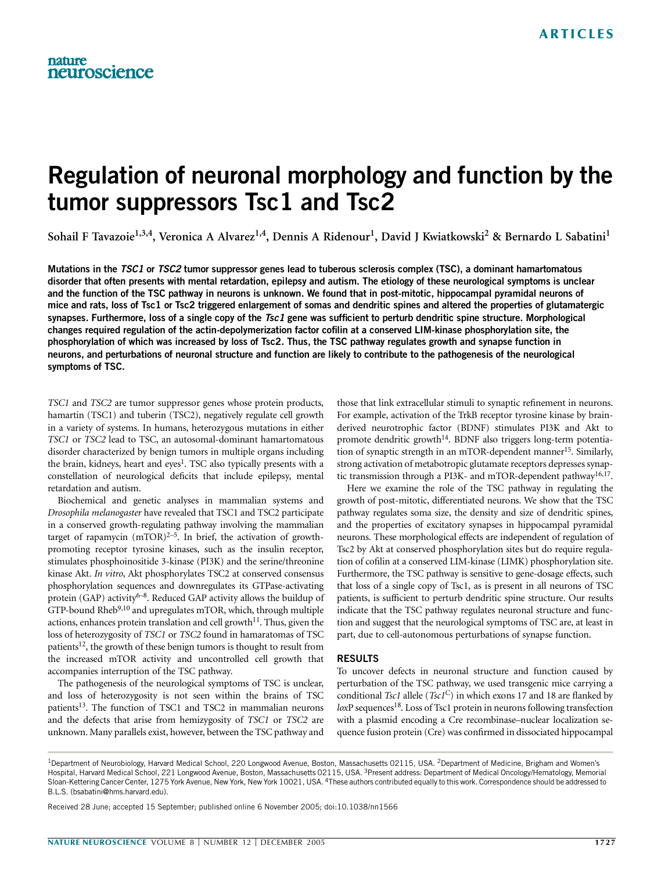# Regulation of neuronal morphology and function by the tumor suppressors Tsc1 and Tsc2

Sohail F Tavazoie<sup>1,3,4</sup>, Veronica A Alvarez<sup>1,4</sup>, Dennis A Ridenour<sup>1</sup>, David J Kwiatkowski<sup>2</sup> & Bernardo L Sabatini<sup>1</sup>

Mutations in the TSC1 or TSC2 tumor suppressor genes lead to tuberous sclerosis complex (TSC), a dominant hamartomatous disorder that often presents with mental retardation, epilepsy and autism. The etiology of these neurological symptoms is unclear and the function of the TSC pathway in neurons is unknown. We found that in post-mitotic, hippocampal pyramidal neurons of mice and rats, loss of Tsc1 or Tsc2 triggered enlargement of somas and dendritic spines and altered the properties of glutamatergic synapses. Furthermore, loss of a single copy of the Tsc1 gene was sufficient to perturb dendritic spine structure. Morphological changes required regulation of the actin-depolymerization factor cofilin at a conserved LIM-kinase phosphorylation site, the phosphorylation of which was increased by loss of Tsc2. Thus, the TSC pathway regulates growth and synapse function in neurons, and perturbations of neuronal structure and function are likely to contribute to the pathogenesis of the neurological symptoms of TSC.

TSC1 and TSC2 are tumor suppressor genes whose protein products, hamartin (TSC1) and tuberin (TSC2), negatively regulate cell growth in a variety of systems. In humans, heterozygous mutations in either TSC1 or TSC2 lead to TSC, an autosomal-dominant hamartomatous disorder characterized by benign tumors in multiple organs including the brain, kidneys, heart and eyes<sup>1</sup>. TSC also typically presents with a constellation of neurological deficits that include epilepsy, mental retardation and autism.

Biochemical and genetic analyses in mammalian systems and Drosophila melanogaster have revealed that TSC1 and TSC2 participate in a conserved growth-regulating pathway involving the mammalian target of rapamycin  $(mTOR)^{2-5}$ . In brief, the activation of growthpromoting receptor tyrosine kinases, such as the insulin receptor, stimulates phosphoinositide 3-kinase (PI3K) and the serine/threonine kinase Akt. In vitro, Akt phosphorylates TSC2 at conserved consensus phosphorylation sequences and downregulates its GTPase-activating protein (GAP) activity<sup>6–8</sup>. Reduced GAP activity allows the buildup of GTP-bound Rheb<sup>9,10</sup> and upregulates mTOR, which, through multiple actions, enhances protein translation and cell growth $11$ . Thus, given the loss of heterozygosity of TSC1 or TSC2 found in hamaratomas of TSC patients<sup>12</sup>, the growth of these benign tumors is thought to result from the increased mTOR activity and uncontrolled cell growth that accompanies interruption of the TSC pathway.

The pathogenesis of the neurological symptoms of TSC is unclear, and loss of heterozygosity is not seen within the brains of TSC patients<sup>13</sup>. The function of TSC1 and TSC2 in mammalian neurons and the defects that arise from hemizygosity of TSC1 or TSC2 are unknown. Many parallels exist, however, between the TSC pathway and those that link extracellular stimuli to synaptic refinement in neurons. For example, activation of the TrkB receptor tyrosine kinase by brainderived neurotrophic factor (BDNF) stimulates PI3K and Akt to promote dendritic growth<sup>14</sup>. BDNF also triggers long-term potentiation of synaptic strength in an mTOR-dependent manner<sup>15</sup>. Similarly, strong activation of metabotropic glutamate receptors depresses synaptic transmission through a PI3K- and mTOR-dependent pathway<sup>16,17</sup>.

Here we examine the role of the TSC pathway in regulating the growth of post-mitotic, differentiated neurons. We show that the TSC pathway regulates soma size, the density and size of dendritic spines, and the properties of excitatory synapses in hippocampal pyramidal neurons. These morphological effects are independent of regulation of Tsc2 by Akt at conserved phosphorylation sites but do require regulation of cofilin at a conserved LIM-kinase (LIMK) phosphorylation site. Furthermore, the TSC pathway is sensitive to gene-dosage effects, such that loss of a single copy of Tsc1, as is present in all neurons of TSC patients, is sufficient to perturb dendritic spine structure. Our results indicate that the TSC pathway regulates neuronal structure and function and suggest that the neurological symptoms of TSC are, at least in part, due to cell-autonomous perturbations of synapse function.

# RESULTS

To uncover defects in neuronal structure and function caused by perturbation of the TSC pathway, we used transgenic mice carrying a conditional Tsc1 allele (Tsc1<sup>C</sup>) in which exons 17 and 18 are flanked by loxP sequences<sup>18</sup>. Loss of Tsc1 protein in neurons following transfection with a plasmid encoding a Cre recombinase–nuclear localization sequence fusion protein (Cre) was confirmed in dissociated hippocampal

Received 28 June; accepted 15 September; published online 6 November 2005; doi:10.1038/nn1566

<sup>&</sup>lt;sup>1</sup>Department of Neurobiology, Harvard Medical School, 220 Longwood Avenue, Boston, Massachusetts 02115, USA. <sup>2</sup>Department of Medicine, Brigham and Women's Hospital, Harvard Medical School, 221 Longwood Avenue, Boston, Massachusetts 02115, USA. <sup>3</sup>Present address: Department of Medical Oncology/Hematology, Memorial Sloan-Kettering Cancer Center, 1275 York Avenue, New York, New York 10021, USA. 4These authors contributed equally to this work. Correspondence should be addressed to B.L.S. (bsabatini@hms.harvard.edu).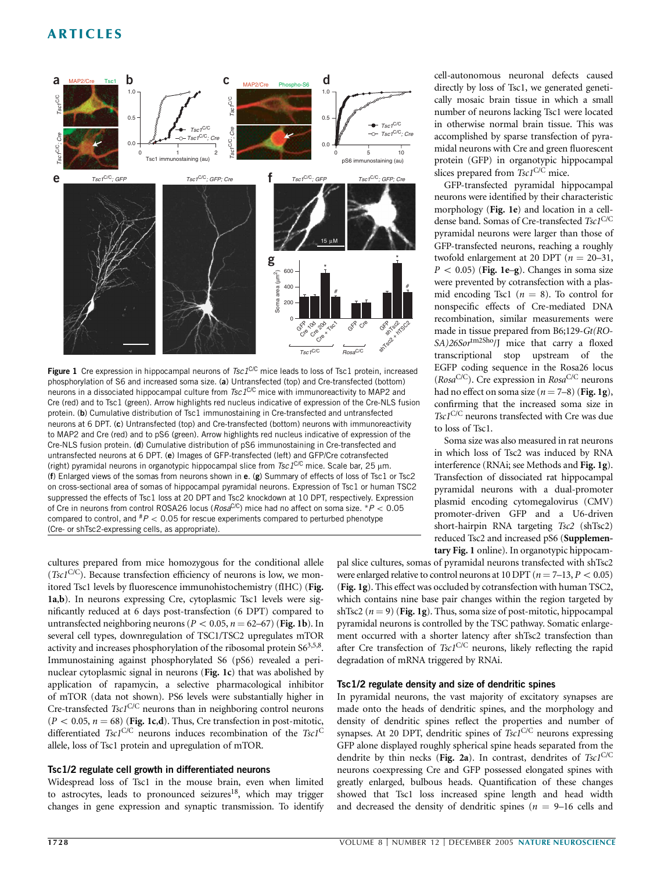

Figure 1 Cre expression in hippocampal neurons of  $Tsc1^{C/C}$  mice leads to loss of Tsc1 protein, increased phosphorylation of S6 and increased soma size. (a) Untransfected (top) and Cre-transfected (bottom) neurons in a dissociated hippocampal culture from  $Tsc1<sup>CC</sup>$  mice with immunoreactivity to MAP2 and Cre (red) and to Tsc1 (green). Arrow highlights red nucleus indicative of expression of the Cre-NLS fusion protein. (b) Cumulative distribution of Tsc1 immunostaining in Cre-transfected and untransfected neurons at 6 DPT. (c) Untransfected (top) and Cre-transfected (bottom) neurons with immunoreactivity to MAP2 and Cre (red) and to pS6 (green). Arrow highlights red nucleus indicative of expression of the Cre-NLS fusion protein. (d) Cumulative distribution of pS6 immunostaining in Cre-transfected and untransfected neurons at 6 DPT. (e) Images of GFP-transfected (left) and GFP/Cre cotransfected (right) pyramidal neurons in organotypic hippocampal slice from  $Tsc1^{C/C}$  mice. Scale bar, 25  $\mu$ m. (f) Enlarged views of the somas from neurons shown in e. (g) Summary of effects of loss of Tsc1 or Tsc2 on cross-sectional area of somas of hippocampal pyramidal neurons. Expression of Tsc1 or human TSC2 suppressed the effects of Tsc1 loss at 20 DPT and Tsc2 knockdown at 10 DPT, respectively. Expression of Cre in neurons from control ROSA26 locus ( $Rosa^{C/C}$ ) mice had no affect on soma size. \* $P < 0.05$ compared to control, and  $^{#}P < 0.05$  for rescue experiments compared to perturbed phenotype (Cre- or shTsc2-expressing cells, as appropriate).

cultures prepared from mice homozygous for the conditional allele (Tsc1<sup>C/C</sup>). Because transfection efficiency of neurons is low, we monitored Tsc1 levels by fluorescence immunohistochemistry (fIHC) (Fig. 1a,b). In neurons expressing Cre, cytoplasmic Tsc1 levels were significantly reduced at 6 days post-transfection (6 DPT) compared to untransfected neighboring neurons ( $P < 0.05$ ,  $n = 62-67$ ) (Fig. 1b). In several cell types, downregulation of TSC1/TSC2 upregulates mTOR activity and increases phosphorylation of the ribosomal protein  $S6<sup>3,5,8</sup>$ . Immunostaining against phosphorylated S6 (pS6) revealed a perinuclear cytoplasmic signal in neurons (Fig. 1c) that was abolished by application of rapamycin, a selective pharmacological inhibitor of mTOR (data not shown). PS6 levels were substantially higher in Cre-transfected  $Tscl^{C/C}$  neurons than in neighboring control neurons  $(P < 0.05, n = 68)$  (Fig. 1c,d). Thus, Cre transfection in post-mitotic, differentiated  $Tsc1^{C/C}$  neurons induces recombination of the  $Tsc1^{C}$ allele, loss of Tsc1 protein and upregulation of mTOR.

# Tsc1/2 regulate cell growth in differentiated neurons

Widespread loss of Tsc1 in the mouse brain, even when limited to astrocytes, leads to pronounced seizures<sup>18</sup>, which may trigger changes in gene expression and synaptic transmission. To identify cell-autonomous neuronal defects caused directly by loss of Tsc1, we generated genetically mosaic brain tissue in which a small number of neurons lacking Tsc1 were located in otherwise normal brain tissue. This was accomplished by sparse transfection of pyramidal neurons with Cre and green fluorescent protein (GFP) in organotypic hippocampal slices prepared from Tsc1<sup>C/C</sup> mice.

GFP-transfected pyramidal hippocampal neurons were identified by their characteristic morphology (Fig. 1e) and location in a celldense band. Somas of Cre-transfected Tsc1C/C pyramidal neurons were larger than those of GFP-transfected neurons, reaching a roughly twofold enlargement at 20 DPT ( $n = 20-31$ ,  $P < 0.05$ ) (Fig. 1e–g). Changes in soma size were prevented by cotransfection with a plasmid encoding Tsc1 ( $n = 8$ ). To control for nonspecific effects of Cre-mediated DNA recombination, similar measurements were made in tissue prepared from B6;129-Gt(RO-SA)26Sor<sup>tm2Sho</sup>/J mice that carry a floxed transcriptional stop upstream of the EGFP coding sequence in the Rosa26 locus ( $Rosa<sup>C/C</sup>$ ). Cre expression in  $Rosa<sup>C/C</sup>$  neurons had no effect on soma size  $(n = 7-8)$  (Fig. 1g), confirming that the increased soma size in Tsc1<sup>C/C</sup> neurons transfected with Cre was due to loss of Tsc1.

Soma size was also measured in rat neurons in which loss of Tsc2 was induced by RNA interference (RNAi; see Methods and Fig. 1g). Transfection of dissociated rat hippocampal pyramidal neurons with a dual-promoter plasmid encoding cytomegalovirus (CMV) promoter-driven GFP and a U6-driven short-hairpin RNA targeting Tsc2 (shTsc2) reduced Tsc2 and increased pS6 (Supplementary Fig. 1 online). In organotypic hippocam-

pal slice cultures, somas of pyramidal neurons transfected with shTsc2 were enlarged relative to control neurons at 10 DPT ( $n = 7-13$ ,  $P < 0.05$ ) (Fig. 1g). This effect was occluded by cotransfection with human TSC2, which contains nine base pair changes within the region targeted by shTsc2 ( $n = 9$ ) (Fig. 1g). Thus, soma size of post-mitotic, hippocampal pyramidal neurons is controlled by the TSC pathway. Somatic enlargement occurred with a shorter latency after shTsc2 transfection than after Cre transfection of  $Tsc1^{C/C}$  neurons, likely reflecting the rapid degradation of mRNA triggered by RNAi.

#### Tsc1/2 regulate density and size of dendritic spines

In pyramidal neurons, the vast majority of excitatory synapses are made onto the heads of dendritic spines, and the morphology and density of dendritic spines reflect the properties and number of synapses. At 20 DPT, dendritic spines of Tsc1C/C neurons expressing GFP alone displayed roughly spherical spine heads separated from the dendrite by thin necks (Fig. 2a). In contrast, dendrites of  $Tscl<sup>C/C</sup>$ neurons coexpressing Cre and GFP possessed elongated spines with greatly enlarged, bulbous heads. Quantification of these changes showed that Tsc1 loss increased spine length and head width and decreased the density of dendritic spines ( $n = 9-16$  cells and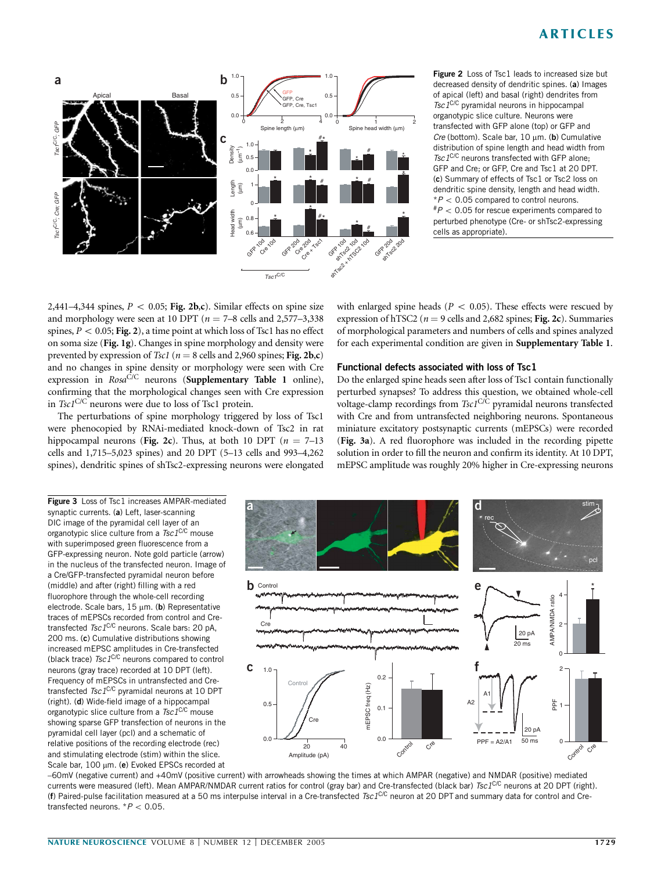

Figure 2 Loss of Tsc1 leads to increased size but decreased density of dendritic spines. (a) Images of apical (left) and basal (right) dendrites from  $Tsc 1<sup>C/C</sup>$  pyramidal neurons in hippocampal organotypic slice culture. Neurons were transfected with GFP alone (top) or GFP and  $Cre$  (bottom). Scale bar,  $10 \text{ µm}$ . (b) Cumulative distribution of spine length and head width from Tsc1C/C neurons transfected with GFP alone; GFP and Cre; or GFP, Cre and Tsc1 at 20 DPT. (c) Summary of effects of Tsc1 or Tsc2 loss on dendritic spine density, length and head width.  $*P < 0.05$  compared to control neurons.  $^{#}P < 0.05$  for rescue experiments compared to perturbed phenotype (Cre- or shTsc2-expressing cells as appropriate).

2,441–4,344 spines,  $P < 0.05$ ; Fig. 2b,c). Similar effects on spine size and morphology were seen at 10 DPT ( $n = 7-8$  cells and 2,577–3,338 spines,  $P < 0.05$ ; Fig. 2), a time point at which loss of Tsc1 has no effect on soma size (Fig. 1g). Changes in spine morphology and density were prevented by expression of Tsc1 ( $n = 8$  cells and 2,960 spines; Fig. 2b,c) and no changes in spine density or morphology were seen with Cre expression in  $Rosa^{\tilde{C}/C}$  neurons (Supplementary Table 1 online), confirming that the morphological changes seen with Cre expression in  $TscI^{C/C}$  neurons were due to loss of Tsc1 protein.

The perturbations of spine morphology triggered by loss of Tsc1 were phenocopied by RNAi-mediated knock-down of Tsc2 in rat hippocampal neurons (Fig. 2c). Thus, at both 10 DPT ( $n = 7-13$ ) cells and 1,715–5,023 spines) and 20 DPT (5–13 cells and 993–4,262 spines), dendritic spines of shTsc2-expressing neurons were elongated

with enlarged spine heads ( $P < 0.05$ ). These effects were rescued by expression of hTSC2 ( $n = 9$  cells and 2,682 spines; Fig. 2c). Summaries of morphological parameters and numbers of cells and spines analyzed for each experimental condition are given in Supplementary Table 1.

## Functional defects associated with loss of Tsc1

Do the enlarged spine heads seen after loss of Tsc1 contain functionally perturbed synapses? To address this question, we obtained whole-cell voltage-clamp recordings from  $TscI^{C/\tilde{C}}$  pyramidal neurons transfected with Cre and from untransfected neighboring neurons. Spontaneous miniature excitatory postsynaptic currents (mEPSCs) were recorded (Fig. 3a). A red fluorophore was included in the recording pipette solution in order to fill the neuron and confirm its identity. At 10 DPT, mEPSC amplitude was roughly 20% higher in Cre-expressing neurons

Figure 3 Loss of Tsc1 increases AMPAR-mediated synaptic currents. (a) Left, laser-scanning DIC image of the pyramidal cell layer of an organotypic slice culture from a  $Tsc1^{\text{C/C}}$  mouse with superimposed green fluorescence from a GFP-expressing neuron. Note gold particle (arrow) in the nucleus of the transfected neuron. Image of a Cre/GFP-transfected pyramidal neuron before (middle) and after (right) filling with a red fluorophore through the whole-cell recording electrode. Scale bars,  $15 \mu m$ . (b) Representative traces of mEPSCs recorded from control and Cretransfected  $Tsc1^{C/C}$  neurons. Scale bars: 20 pA, 200 ms. (c) Cumulative distributions showing increased mEPSC amplitudes in Cre-transfected (black trace)  $Tsc 1^{C/C}$  neurons compared to control neurons (gray trace) recorded at 10 DPT (left). Frequency of mEPSCs in untransfected and Cretransfected Tsc1C/C pyramidal neurons at 10 DPT (right). (d) Wide-field image of a hippocampal organotypic slice culture from a  $Tsc1^{\text{C/C}}$  mouse showing sparse GFP transfection of neurons in the pyramidal cell layer (pcl) and a schematic of relative positions of the recording electrode (rec) and stimulating electrode (stim) within the slice. Scale bar, 100 µm. (e) Evoked EPSCs recorded at



–60mV (negative current) and +40mV (positive current) with arrowheads showing the times at which AMPAR (negative) and NMDAR (positive) mediated currents were measured (left). Mean AMPAR/NMDAR current ratios for control (gray bar) and Cre-transfected (black bar) Tsc1C/C neurons at 20 DPT (right). (f) Paired-pulse facilitation measured at a 50 ms interpulse interval in a Cre-transfected Tsc1C/C neuron at 20 DPT and summary data for control and Cretransfected neurons.  $*P < 0.05$ .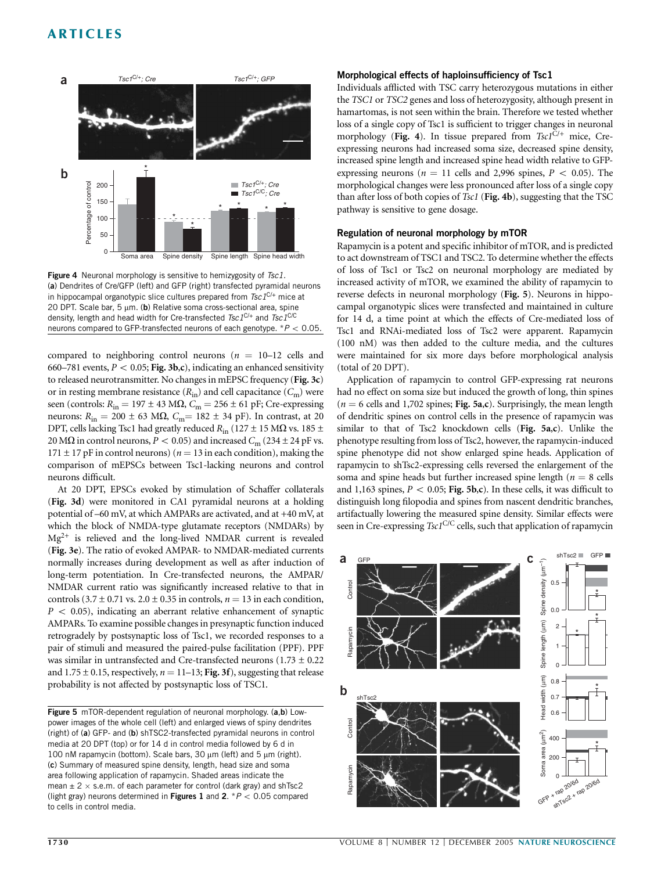

Figure 4 Neuronal morphology is sensitive to hemizygosity of Tsc1. (a) Dendrites of Cre/GFP (left) and GFP (right) transfected pyramidal neurons in hippocampal organotypic slice cultures prepared from  $Tsc 1^{C/+}$  mice at 20 DPT. Scale bar, 5  $\mu$ m. (b) Relative soma cross-sectional area, spine density, length and head width for Cre-transfected  $Tsc1^{C/+}$  and  $Tsc1^{C/C}$ neurons compared to GFP-transfected neurons of each genotype.  $*P < 0.05$ .

compared to neighboring control neurons ( $n = 10-12$  cells and 660–781 events,  $P < 0.05$ ; Fig. 3b,c), indicating an enhanced sensitivity to released neurotransmitter. No changes in mEPSC frequency (Fig. 3c) or in resting membrane resistance  $(R_{in})$  and cell capacitance  $(C_m)$  were seen (controls:  $R_{in} = 197 \pm 43$  M $\Omega$ ,  $C_m = 256 \pm 61$  pF; Cre-expressing neurons:  $R_{in} = 200 \pm 63$  MΩ,  $C_{m} = 182 \pm 34$  pF). In contrast, at 20 DPT, cells lacking Tsc1 had greatly reduced  $R_{\text{in}}$  (127  $\pm$  15 M $\Omega$  vs. 185  $\pm$ 20 M $\Omega$  in control neurons,  $P < 0.05$ ) and increased  $C_m$  (234  $\pm$  24 pF vs.  $171 \pm 17$  pF in control neurons) ( $n = 13$  in each condition), making the comparison of mEPSCs between Tsc1-lacking neurons and control neurons difficult.

At 20 DPT, EPSCs evoked by stimulation of Schaffer collaterals (Fig. 3d) were monitored in CA1 pyramidal neurons at a holding potential of –60 mV, at which AMPARs are activated, and at +40 mV, at which the block of NMDA-type glutamate receptors (NMDARs) by  $Mg^{2+}$  is relieved and the long-lived NMDAR current is revealed (Fig. 3e). The ratio of evoked AMPAR- to NMDAR-mediated currents normally increases during development as well as after induction of long-term potentiation. In Cre-transfected neurons, the AMPAR/ NMDAR current ratio was significantly increased relative to that in controls (3.7  $\pm$  0.71 vs. 2.0  $\pm$  0.35 in controls,  $n = 13$  in each condition,  $P < 0.05$ ), indicating an aberrant relative enhancement of synaptic AMPARs. To examine possible changes in presynaptic function induced retrogradely by postsynaptic loss of Tsc1, we recorded responses to a pair of stimuli and measured the paired-pulse facilitation (PPF). PPF was similar in untransfected and Cre-transfected neurons  $(1.73 \pm 0.22)$ and 1.75  $\pm$  0.15, respectively,  $n = 11-13$ ; Fig. 3f), suggesting that release probability is not affected by postsynaptic loss of TSC1.

Figure 5 mTOR-dependent regulation of neuronal morphology. (a,b) Lowpower images of the whole cell (left) and enlarged views of spiny dendrites (right) of (a) GFP- and (b) shTSC2-transfected pyramidal neurons in control media at 20 DPT (top) or for 14 d in control media followed by 6 d in 100 nM rapamycin (bottom). Scale bars, 30  $\mu$ m (left) and 5  $\mu$ m (right). (c) Summary of measured spine density, length, head size and soma area following application of rapamycin. Shaded areas indicate the mean  $\pm$  2  $\times$  s.e.m. of each parameter for control (dark gray) and shTsc2 (light gray) neurons determined in Figures 1 and 2. \*  $P < 0.05$  compared to cells in control media.

#### Morphological effects of haploinsufficiency of Tsc1

Individuals afflicted with TSC carry heterozygous mutations in either the TSC1 or TSC2 genes and loss of heterozygosity, although present in hamartomas, is not seen within the brain. Therefore we tested whether loss of a single copy of Tsc1 is sufficient to trigger changes in neuronal morphology (Fig. 4). In tissue prepared from  $Tscl^{C/+}$  mice, Creexpressing neurons had increased soma size, decreased spine density, increased spine length and increased spine head width relative to GFPexpressing neurons ( $n = 11$  cells and 2,996 spines,  $P < 0.05$ ). The morphological changes were less pronounced after loss of a single copy than after loss of both copies of Tsc1 (Fig. 4b), suggesting that the TSC pathway is sensitive to gene dosage.

### Regulation of neuronal morphology by mTOR

Rapamycin is a potent and specific inhibitor of mTOR, and is predicted to act downstream of TSC1 and TSC2. To determine whether the effects of loss of Tsc1 or Tsc2 on neuronal morphology are mediated by increased activity of mTOR, we examined the ability of rapamycin to reverse defects in neuronal morphology (Fig. 5). Neurons in hippocampal organotypic slices were transfected and maintained in culture for 14 d, a time point at which the effects of Cre-mediated loss of Tsc1 and RNAi-mediated loss of Tsc2 were apparent. Rapamycin (100 nM) was then added to the culture media, and the cultures were maintained for six more days before morphological analysis (total of 20 DPT).

Application of rapamycin to control GFP-expressing rat neurons had no effect on soma size but induced the growth of long, thin spines ( $n = 6$  cells and 1,702 spines; Fig. 5a,c). Surprisingly, the mean length of dendritic spines on control cells in the presence of rapamycin was similar to that of Tsc2 knockdown cells (Fig. 5a,c). Unlike the phenotype resulting from loss of Tsc2, however, the rapamycin-induced spine phenotype did not show enlarged spine heads. Application of rapamycin to shTsc2-expressing cells reversed the enlargement of the soma and spine heads but further increased spine length ( $n = 8$  cells and 1,163 spines,  $P < 0.05$ ; Fig. 5b,c). In these cells, it was difficult to distinguish long filopodia and spines from nascent dendritic branches, artifactually lowering the measured spine density. Similar effects were seen in Cre-expressing  $Tscl^{C/C}$  cells, such that application of rapamycin

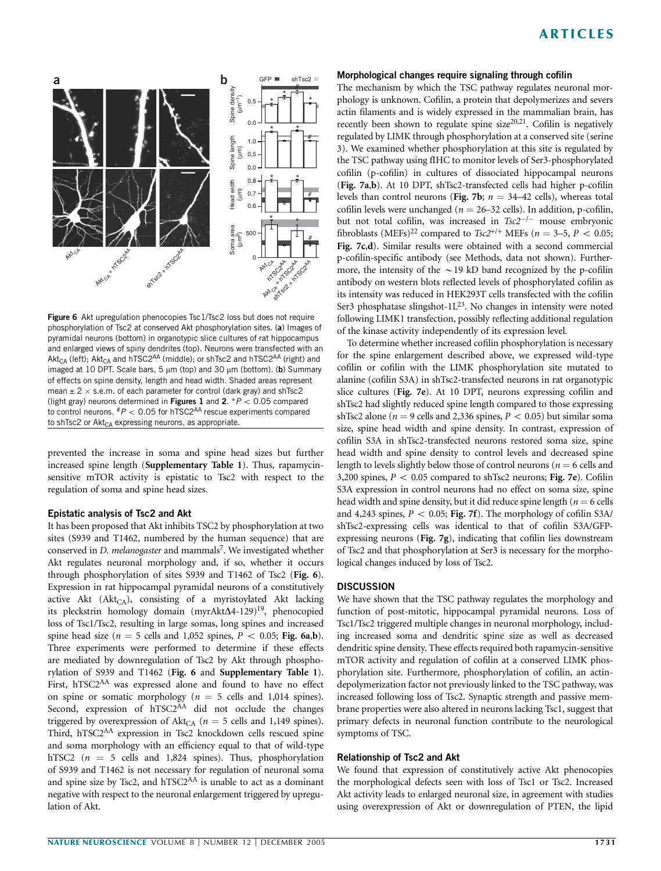

Figure 6 Akt upregulation phenocopies Tsc1/Tsc2 loss but does not require phosphorylation of Tsc2 at conserved Akt phosphorylation sites. (a) Images of pyramidal neurons (bottom) in organotypic slice cultures of rat hippocampus and enlarged views of spiny dendrites (top). Neurons were transfected with an  $\mathsf{Akt}_{\mathsf{CA}}$  (left);  $\mathsf{Akt}_{\mathsf{CA}}$  and  $\mathsf{hTSC2}^{\mathsf{AA}}$  (middle); or shTsc2 and  $\mathsf{hTSC2}^{\mathsf{AA}}$  (right) and imaged at 10 DPT. Scale bars,  $5 \mu m$  (top) and 30  $\mu m$  (bottom). (b) Summary of effects on spine density, length and head width. Shaded areas represent mean  $\pm$  2  $\times$  s.e.m. of each parameter for control (dark gray) and shTsc2 (light gray) neurons determined in Figures 1 and 2. \* $P < 0.05$  compared to control neurons.  $^{#}P < 0.05$  for hTSC2<sup>AA</sup> rescue experiments compared to shTsc2 or  $\text{Akt}_{\text{CA}}$  expressing neurons, as appropriate.

prevented the increase in soma and spine head sizes but further increased spine length (Supplementary Table 1). Thus, rapamycinsensitive mTOR activity is epistatic to Tsc2 with respect to the regulation of soma and spine head sizes.

### Epistatic analysis of Tsc2 and Akt

It has been proposed that Akt inhibits TSC2 by phosphorylation at two sites (S939 and T1462, numbered by the human sequence) that are conserved in  $D$ . melanogaster and mammals<sup>7</sup>. We investigated whether Akt regulates neuronal morphology and, if so, whether it occurs through phosphorylation of sites S939 and T1462 of Tsc2 (Fig. 6). Expression in rat hippocampal pyramidal neurons of a constitutively active Akt  $(Akt_{CA})$ , consisting of a myristoylated Akt lacking its pleckstrin homology domain (myrAkt $\Delta$ 4-129)<sup>19</sup>, phenocopied loss of Tsc1/Tsc2, resulting in large somas, long spines and increased spine head size ( $n = 5$  cells and 1,052 spines,  $P < 0.05$ ; Fig. 6a,b). Three experiments were performed to determine if these effects are mediated by downregulation of Tsc2 by Akt through phosphorylation of S939 and T1462 (Fig. 6 and Supplementary Table 1). First, hTSC2<sup>AA</sup> was expressed alone and found to have no effect on spine or somatic morphology ( $n = 5$  cells and 1,014 spines). Second, expression of hTSC2<sup>AA</sup> did not occlude the changes triggered by overexpression of Akt<sub>CA</sub> ( $n = 5$  cells and 1,149 spines). Third, hTSC2AA expression in Tsc2 knockdown cells rescued spine and soma morphology with an efficiency equal to that of wild-type hTSC2 ( $n = 5$  cells and 1,824 spines). Thus, phosphorylation of S939 and T1462 is not necessary for regulation of neuronal soma and spine size by Tsc2, and hTSC2AA is unable to act as a dominant negative with respect to the neuronal enlargement triggered by upregulation of Akt.

#### Morphological changes require signaling through cofilin

The mechanism by which the TSC pathway regulates neuronal morphology is unknown. Cofilin, a protein that depolymerizes and severs actin filaments and is widely expressed in the mammalian brain, has recently been shown to regulate spine size<sup>20,21</sup>. Cofilin is negatively regulated by LIMK through phosphorylation at a conserved site (serine 3). We examined whether phosphorylation at this site is regulated by the TSC pathway using fIHC to monitor levels of Ser3-phosphorylated cofilin (p-cofilin) in cultures of dissociated hippocampal neurons (Fig. 7a,b). At 10 DPT, shTsc2-transfected cells had higher p-cofilin levels than control neurons (Fig. 7b;  $n = 34-42$  cells), whereas total cofilin levels were unchanged ( $n = 26-32$  cells). In addition, p-cofilin, but not total cofilin, was increased in  $Tsc2^{-/-}$  mouse embryonic fibroblasts (MEFs)<sup>22</sup> compared to Tsc2<sup>+/+</sup> MEFs ( $n = 3-5$ ,  $P < 0.05$ ; Fig. 7c,d). Similar results were obtained with a second commercial p-cofilin-specific antibody (see Methods, data not shown). Furthermore, the intensity of the  $\sim$  19 kD band recognized by the p-cofilin antibody on western blots reflected levels of phosphorylated cofilin as its intensity was reduced in HEK293T cells transfected with the cofilin Ser3 phosphatase slingshot- $1L^{23}$ . No changes in intensity were noted following LIMK1 transfection, possibly reflecting additional regulation of the kinase activity independently of its expression level.

To determine whether increased cofilin phosphorylation is necessary for the spine enlargement described above, we expressed wild-type cofilin or cofilin with the LIMK phosphorylation site mutated to alanine (cofilin S3A) in shTsc2-transfected neurons in rat organotypic slice cultures (Fig. 7e). At 10 DPT, neurons expressing cofilin and shTsc2 had slightly reduced spine length compared to those expressing shTsc2 alone ( $n = 9$  cells and 2,336 spines,  $P < 0.05$ ) but similar soma size, spine head width and spine density. In contrast, expression of cofilin S3A in shTsc2-transfected neurons restored soma size, spine head width and spine density to control levels and decreased spine length to levels slightly below those of control neurons ( $n = 6$  cells and 3,200 spines,  $P < 0.05$  compared to shTsc2 neurons; Fig. 7e). Cofilin S3A expression in control neurons had no effect on soma size, spine head width and spine density, but it did reduce spine length ( $n = 6$  cells and 4,243 spines,  $P < 0.05$ ; Fig. 7f). The morphology of cofilin S3A/ shTsc2-expressing cells was identical to that of cofilin S3A/GFPexpressing neurons (Fig. 7g), indicating that cofilin lies downstream of Tsc2 and that phosphorylation at Ser3 is necessary for the morphological changes induced by loss of Tsc2.

## **DISCUSSION**

We have shown that the TSC pathway regulates the morphology and function of post-mitotic, hippocampal pyramidal neurons. Loss of Tsc1/Tsc2 triggered multiple changes in neuronal morphology, including increased soma and dendritic spine size as well as decreased dendritic spine density. These effects required both rapamycin-sensitive mTOR activity and regulation of cofilin at a conserved LIMK phosphorylation site. Furthermore, phosphorylation of cofilin, an actindepolymerization factor not previously linked to the TSC pathway, was increased following loss of Tsc2. Synaptic strength and passive membrane properties were also altered in neurons lacking Tsc1, suggest that primary defects in neuronal function contribute to the neurological symptoms of TSC.

#### Relationship of Tsc2 and Akt

We found that expression of constitutively active Akt phenocopies the morphological defects seen with loss of Tsc1 or Tsc2. Increased Akt activity leads to enlarged neuronal size, in agreement with studies using overexpression of Akt or downregulation of PTEN, the lipid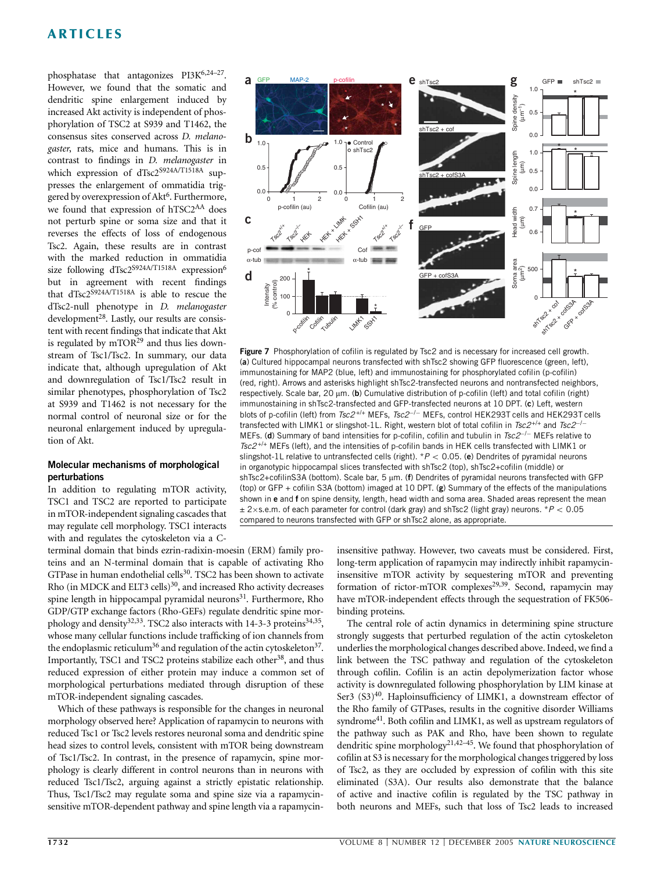phosphatase that antagonizes PI3K<sup>6,24-27</sup>. However, we found that the somatic and dendritic spine enlargement induced by increased Akt activity is independent of phosphorylation of TSC2 at S939 and T1462, the consensus sites conserved across D. melanogaster, rats, mice and humans. This is in contrast to findings in D. melanogaster in which expression of dTsc2S924A/T1518A suppresses the enlargement of ommatidia triggered by overexpression of Akt<sup>6</sup>. Furthermore, we found that expression of hTSC2<sup>AA</sup> does not perturb spine or soma size and that it reverses the effects of loss of endogenous Tsc2. Again, these results are in contrast with the marked reduction in ommatidia size following dTsc2<sup>S924A/T1518A</sup> expression<sup>6</sup> but in agreement with recent findings that dTsc2S924A/T1518A is able to rescue the dTsc2-null phenotype in D. melanogaster development<sup>28</sup>. Lastly, our results are consistent with recent findings that indicate that Akt is regulated by  $mTOR<sup>29</sup>$  and thus lies downstream of Tsc1/Tsc2. In summary, our data indicate that, although upregulation of Akt and downregulation of Tsc1/Tsc2 result in similar phenotypes, phosphorylation of Tsc2 at S939 and T1462 is not necessary for the normal control of neuronal size or for the neuronal enlargement induced by upregulation of Akt.

### Molecular mechanisms of morphological perturbations

In addition to regulating mTOR activity, TSC1 and TSC2 are reported to participate in mTOR-independent signaling cascades that may regulate cell morphology. TSC1 interacts with and regulates the cytoskeleton via a C-

terminal domain that binds ezrin-radixin-moesin (ERM) family proteins and an N-terminal domain that is capable of activating Rho GTPase in human endothelial cells<sup>30</sup>. TSC2 has been shown to activate Rho (in MDCK and ELT3 cells)<sup>30</sup>, and increased Rho activity decreases spine length in hippocampal pyramidal neurons<sup>31</sup>. Furthermore, Rho GDP/GTP exchange factors (Rho-GEFs) regulate dendritic spine morphology and density<sup>32,33</sup>. TSC2 also interacts with 14-3-3 proteins<sup>34,35</sup>, whose many cellular functions include trafficking of ion channels from the endoplasmic reticulum<sup>36</sup> and regulation of the actin cytoskeleton<sup>37</sup>. Importantly, TSC1 and TSC2 proteins stabilize each other<sup>38</sup>, and thus reduced expression of either protein may induce a common set of morphological perturbations mediated through disruption of these mTOR-independent signaling cascades.

Which of these pathways is responsible for the changes in neuronal morphology observed here? Application of rapamycin to neurons with reduced Tsc1 or Tsc2 levels restores neuronal soma and dendritic spine head sizes to control levels, consistent with mTOR being downstream of Tsc1/Tsc2. In contrast, in the presence of rapamycin, spine morphology is clearly different in control neurons than in neurons with reduced Tsc1/Tsc2, arguing against a strictly epistatic relationship. Thus, Tsc1/Tsc2 may regulate soma and spine size via a rapamycinsensitive mTOR-dependent pathway and spine length via a rapamycin-



Figure 7 Phosphorylation of cofilin is regulated by Tsc2 and is necessary for increased cell growth. (a) Cultured hippocampal neurons transfected with shTsc2 showing GFP fluorescence (green, left), immunostaining for MAP2 (blue, left) and immunostaining for phosphorylated cofilin (p-cofilin) (red, right). Arrows and asterisks highlight shTsc2-transfected neurons and nontransfected neighbors, respectively. Scale bar, 20  $\mu$ m. (b) Cumulative distribution of p-cofilin (left) and total cofilin (right) immunostaining in shTsc2-transfected and GFP-transfected neurons at 10 DPT. (c) Left, western blots of p-cofilin (left) from Tsc2<sup>+/+</sup> MEFs, Tsc2<sup>-/-</sup> MEFs, control HEK293T cells and HEK293T cells transfected with LIMK1 or slingshot-1L. Right, western blot of total cofilin in  $\textit{Tsc2}^{+/+}$  and  $\textit{Tsc2}^{+/-}$ MEFs. (d) Summary of band intensities for p-cofilin, cofilin and tubulin in  $Tsc2^{-/-}$  MEFs relative to  $Tsc2^{+/+}$  MEFs (left), and the intensities of p-cofilin bands in HEK cells transfected with LIMK1 or slingshot-1L relative to untransfected cells (right).  $*P < 0.05$ . (e) Dendrites of pyramidal neurons in organotypic hippocampal slices transfected with shTsc2 (top), shTsc2+cofilin (middle) or shTsc2+cofilinS3A (bottom). Scale bar,  $5 \mu m$ . (f) Dendrites of pyramidal neurons transfected with GFP (top) or GFP + cofilin S3A (bottom) imaged at 10 DPT. (g) Summary of the effects of the manipulations shown in e and f on spine density, length, head width and soma area. Shaded areas represent the mean  $\pm$  2×s.e.m. of each parameter for control (dark gray) and shTsc2 (light gray) neurons. \*P < 0.05 compared to neurons transfected with GFP or shTsc2 alone, as appropriate.

insensitive pathway. However, two caveats must be considered. First, long-term application of rapamycin may indirectly inhibit rapamycininsensitive mTOR activity by sequestering mTOR and preventing formation of rictor-mTOR complexes<sup>29,39</sup>. Second, rapamycin may have mTOR-independent effects through the sequestration of FK506 binding proteins.

The central role of actin dynamics in determining spine structure strongly suggests that perturbed regulation of the actin cytoskeleton underlies the morphological changes described above. Indeed, we find a link between the TSC pathway and regulation of the cytoskeleton through cofilin. Cofilin is an actin depolymerization factor whose activity is downregulated following phosphorylation by LIM kinase at Ser3 (S3)<sup>40</sup>. Haploinsufficiency of LIMK1, a downstream effector of the Rho family of GTPases, results in the cognitive disorder Williams syndrome<sup>41</sup>. Both cofilin and LIMK1, as well as upstream regulators of the pathway such as PAK and Rho, have been shown to regulate dendritic spine morphology<sup>21,42–45</sup>. We found that phosphorylation of cofilin at S3 is necessary for the morphological changes triggered by loss of Tsc2, as they are occluded by expression of cofilin with this site eliminated (S3A). Our results also demonstrate that the balance of active and inactive cofilin is regulated by the TSC pathway in both neurons and MEFs, such that loss of Tsc2 leads to increased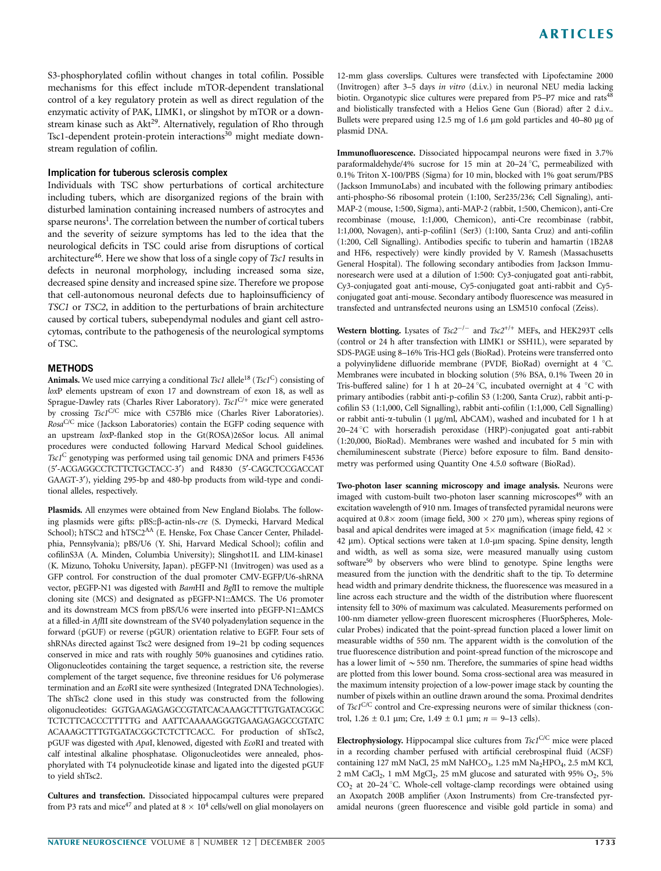S3-phosphorylated cofilin without changes in total cofilin. Possible mechanisms for this effect include mTOR-dependent translational control of a key regulatory protein as well as direct regulation of the enzymatic activity of PAK, LIMK1, or slingshot by mTOR or a downstream kinase such as Akt<sup>29</sup>. Alternatively, regulation of Rho through Tsc1-dependent protein-protein interactions<sup>30</sup> might mediate downstream regulation of cofilin.

### Implication for tuberous sclerosis complex

Individuals with TSC show perturbations of cortical architecture including tubers, which are disorganized regions of the brain with disturbed lamination containing increased numbers of astrocytes and sparse neurons<sup>1</sup>. The correlation between the number of cortical tubers and the severity of seizure symptoms has led to the idea that the neurological deficits in TSC could arise from disruptions of cortical architecture<sup>46</sup>. Here we show that loss of a single copy of  $T<sub>sc1</sub>$  results in defects in neuronal morphology, including increased soma size, decreased spine density and increased spine size. Therefore we propose that cell-autonomous neuronal defects due to haploinsufficiency of TSC1 or TSC2, in addition to the perturbations of brain architecture caused by cortical tubers, subependymal nodules and giant cell astrocytomas, contribute to the pathogenesis of the neurological symptoms of TSC.

### METHODS

Animals. We used mice carrying a conditional Tsc1 allele<sup>18</sup> (Tsc1<sup>C</sup>) consisting of loxP elements upstream of exon 17 and downstream of exon 18, as well as Sprague-Dawley rats (Charles River Laboratory). Tsc1<sup>C/+</sup> mice were generated by crossing Tsc1<sup>C/C</sup> mice with C57Bl6 mice (Charles River Laboratories). Rosa<sup>C/C</sup> mice (Jackson Laboratories) contain the EGFP coding sequence with an upstream loxP-flanked stop in the Gt(ROSA)26Sor locus. All animal procedures were conducted following Harvard Medical School guidelines. Tsc1<sup>C</sup> genotyping was performed using tail genomic DNA and primers F4536 (5¢-ACGAGGCCTCTTCTGCTACC-3¢) and R4830 (5¢-CAGCTCCGACCAT GAAGT-3'), yielding 295-bp and 480-bp products from wild-type and conditional alleles, respectively.

Plasmids. All enzymes were obtained from New England Biolabs. The following plasmids were gifts: pBS::β-actin-nls-cre (S. Dymecki, Harvard Medical School); hTSC2 and hTSC2<sup>AA</sup> (E. Henske, Fox Chase Cancer Center, Philadelphia, Pennsylvania); pBS/U6 (Y. Shi, Harvard Medical School); cofilin and cofilinS3A (A. Minden, Columbia University); Slingshot1L and LIM-kinase1 (K. Mizuno, Tohoku University, Japan). pEGFP-N1 (Invitrogen) was used as a GFP control. For construction of the dual promoter CMV-EGFP/U6-shRNA vector, pEGFP-N1 was digested with BamHI and BglII to remove the multiple cloning site (MCS) and designated as pEGFP-N1:: $\Delta$ MCS. The U6 promoter and its downstream MCS from pBS/U6 were inserted into pEGFP-N1:: $\Delta$ MCS at a filled-in AflII site downstream of the SV40 polyadenylation sequence in the forward (pGUF) or reverse (pGUR) orientation relative to EGFP. Four sets of shRNAs directed against Tsc2 were designed from 19–21 bp coding sequences conserved in mice and rats with roughly 50% guanosines and cytidines ratio. Oligonucleotides containing the target sequence, a restriction site, the reverse complement of the target sequence, five threonine residues for U6 polymerase termination and an EcoRI site were synthesized (Integrated DNA Technologies). The shTsc2 clone used in this study was constructed from the following oligonucleotides: GGTGAAGAGAGCCGTATCACAAAGCTTTGTGATACGGC TCTCTTCACCCTTTTTG and AATTCAAAAAGGGTGAAGAGAGCCGTATC ACAAAGCTTTGTGATACGGCTCTCTTCACC. For production of shTsc2, pGUF was digested with ApaI, klenowed, digested with EcoRI and treated with calf intestinal alkaline phosphatase. Oligonucleotides were annealed, phosphorylated with T4 polynucleotide kinase and ligated into the digested pGUF to yield shTsc2.

Cultures and transfection. Dissociated hippocampal cultures were prepared from P3 rats and mice<sup>47</sup> and plated at  $8 \times 10^4$  cells/well on glial monolayers on 12-mm glass coverslips. Cultures were transfected with Lipofectamine 2000 (Invitrogen) after 3–5 days in vitro (d.i.v.) in neuronal NEU media lacking biotin. Organotypic slice cultures were prepared from P5-P7 mice and rats<sup>48</sup> and biolistically transfected with a Helios Gene Gun (Biorad) after 2 d.i.v.. Bullets were prepared using 12.5 mg of 1.6 µm gold particles and 40-80 µg of plasmid DNA.

Immunofluorescence. Dissociated hippocampal neurons were fixed in 3.7% paraformaldehyde/4% sucrose for 15 min at 20-24 °C, permeabilized with 0.1% Triton X-100/PBS (Sigma) for 10 min, blocked with 1% goat serum/PBS (Jackson ImmunoLabs) and incubated with the following primary antibodies: anti-phospho-S6 ribosomal protein (1:100, Ser235/236; Cell Signaling), anti-MAP-2 (mouse, 1:500, Sigma), anti-MAP-2 (rabbit, 1:500, Chemicon), anti-Cre recombinase (mouse, 1:1,000, Chemicon), anti-Cre recombinase (rabbit, 1:1,000, Novagen), anti-p-cofilin1 (Ser3) (1:100, Santa Cruz) and anti-cofilin (1:200, Cell Signalling). Antibodies specific to tuberin and hamartin (1B2A8 and HF6, respectively) were kindly provided by V. Ramesh (Massachusetts General Hospital). The following secondary antibodies from Jackson Immunoresearch were used at a dilution of 1:500: Cy3-conjugated goat anti-rabbit, Cy3-conjugated goat anti-mouse, Cy5-conjugated goat anti-rabbit and Cy5 conjugated goat anti-mouse. Secondary antibody fluorescence was measured in transfected and untransfected neurons using an LSM510 confocal (Zeiss).

Western blotting. Lysates of  $Tsc2^{-/-}$  and  $Tsc2^{+/+}$  MEFs, and HEK293T cells (control or 24 h after transfection with LIMK1 or SSH1L), were separated by SDS-PAGE using 8–16% Tris-HCl gels (BioRad). Proteins were transferred onto a polyvinylidene difluoride membrane (PVDF, BioRad) overnight at 4  $°C$ . Membranes were incubated in blocking solution (5% BSA, 0.1% Tween 20 in Tris-buffered saline) for 1 h at 20–24 °C, incubated overnight at 4 °C with primary antibodies (rabbit anti-p-cofilin S3 (1:200, Santa Cruz), rabbit anti-pcofilin S3 (1:1,000, Cell Signalling), rabbit anti-cofilin (1:1,000, Cell Signalling) or rabbit anti- $\alpha$ -tubulin (1 µg/ml, AbCAM), washed and incubated for 1 h at 20-24 °C with horseradish peroxidase (HRP)-conjugated goat anti-rabbit (1:20,000, BioRad). Membranes were washed and incubated for 5 min with chemiluminescent substrate (Pierce) before exposure to film. Band densitometry was performed using Quantity One 4.5.0 software (BioRad).

Two-photon laser scanning microscopy and image analysis. Neurons were imaged with custom-built two-photon laser scanning microscopes<sup>49</sup> with an excitation wavelength of 910 nm. Images of transfected pyramidal neurons were acquired at  $0.8 \times$  zoom (image field,  $300 \times 270$  µm), whereas spiny regions of basal and apical dendrites were imaged at 5 $\times$  magnification (image field, 42  $\times$ 42 µm). Optical sections were taken at 1.0-µm spacing. Spine density, length and width, as well as soma size, were measured manually using custom software<sup>50</sup> by observers who were blind to genotype. Spine lengths were measured from the junction with the dendritic shaft to the tip. To determine head width and primary dendrite thickness, the fluorescence was measured in a line across each structure and the width of the distribution where fluorescent intensity fell to 30% of maximum was calculated. Measurements performed on 100-nm diameter yellow-green fluorescent microspheres (FluorSpheres, Molecular Probes) indicated that the point-spread function placed a lower limit on measurable widths of 550 nm. The apparent width is the convolution of the true fluorescence distribution and point-spread function of the microscope and has a lower limit of  $\sim$  550 nm. Therefore, the summaries of spine head widths are plotted from this lower bound. Soma cross-sectional area was measured in the maximum intensity projection of a low-power image stack by counting the number of pixels within an outline drawn around the soma. Proximal dendrites of Tsc1C/C control and Cre-expressing neurons were of similar thickness (control,  $1.26 \pm 0.1$  µm; Cre,  $1.49 \pm 0.1$  µm;  $n = 9$ –13 cells).

Electrophysiology. Hippocampal slice cultures from Tsc1C/C mice were placed in a recording chamber perfused with artificial cerebrospinal fluid (ACSF) containing 127 mM NaCl, 25 mM NaHCO<sub>3</sub>, 1.25 mM Na<sub>2</sub>HPO<sub>4</sub>, 2.5 mM KCl, 2 mM CaCl<sub>2</sub>, 1 mM MgCl<sub>2</sub>, 25 mM glucose and saturated with 95%  $O_2$ , 5%  $CO<sub>2</sub>$  at 20–24 °C. Whole-cell voltage-clamp recordings were obtained using an Axopatch 200B amplifier (Axon Instruments) from Cre-transfected pyramidal neurons (green fluorescence and visible gold particle in soma) and